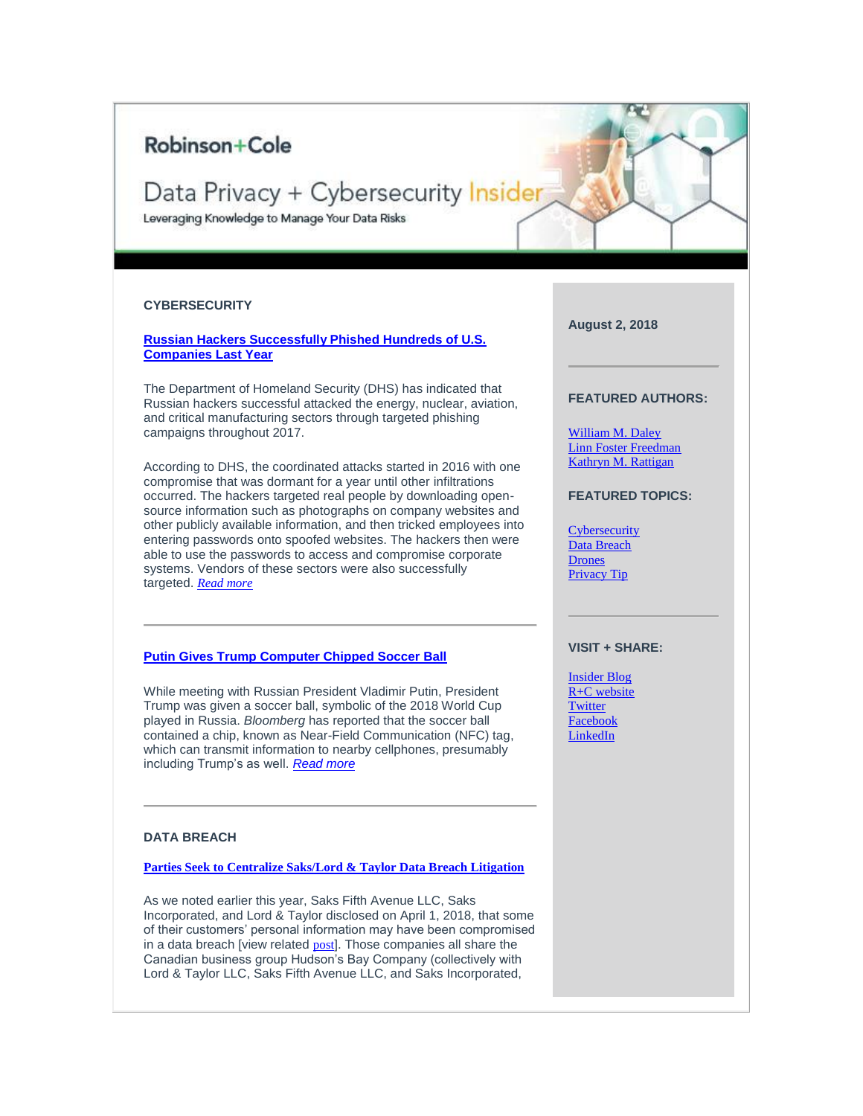## Robinson+Cole

# Data Privacy + Cybersecurity Insider

Leveraging Knowledge to Manage Your Data Risks

#### <span id="page-0-0"></span>**CYBERSECURITY**

**[Russian Hackers Successfully Phished Hundreds of U.S.](https://protect-us.mimecast.com/s/AO2aCrkpG6CvPvwHVgG1M?domain=t2806904.omkt.co)  [Companies Last Year](https://protect-us.mimecast.com/s/AO2aCrkpG6CvPvwHVgG1M?domain=t2806904.omkt.co)**

The Department of Homeland Security (DHS) has indicated that Russian hackers successful attacked the energy, nuclear, aviation, and critical manufacturing sectors through targeted phishing campaigns throughout 2017.

According to DHS, the coordinated attacks started in 2016 with one compromise that was dormant for a year until other infiltrations occurred. The hackers targeted real people by downloading opensource information such as photographs on company websites and other publicly available information, and then tricked employees into entering passwords onto spoofed websites. The hackers then were able to use the passwords to access and compromise corporate systems. Vendors of these sectors were also successfully targeted. *[Read more](https://protect-us.mimecast.com/s/Di0pCv2wMkS6p6OsqjTgk?domain=t2806904.omkt.co)*

#### **[Putin Gives Trump Computer Chipped Soccer Ball](https://protect-us.mimecast.com/s/e_iTCwpxNlH1J10sEZDLd?domain=t2806904.omkt.co)**

While meeting with Russian President Vladimir Putin, President Trump was given a soccer ball, symbolic of the 2018 World Cup played in Russia. *Bloomberg* has reported that the soccer ball contained a chip, known as Near-Field Communication (NFC) tag, which can transmit information to nearby cellphones, presumably including Trump's as well. *[Read more](https://protect-us.mimecast.com/s/uFyHCxky0mCAnAmTL14tA?domain=t2806904.omkt.co)*

#### <span id="page-0-1"></span>**DATA BREACH**

**[Parties Seek to Centralize Saks/Lord & Taylor Data Breach Litigation](https://protect-us.mimecast.com/s/H0wcCyPz4ntMqM6h4WLGg?domain=t2806904.omkt.co)**

As we noted earlier this year, Saks Fifth Avenue LLC, Saks Incorporated, and Lord & Taylor disclosed on April 1, 2018, that some of their customers' personal information may have been compromised in a data breach [view related [post](https://protect-us.mimecast.com/s/oadLCzpA8oH2Q28imDjb8?domain=t2806904.omkt.co)]. Those companies all share the Canadian business group Hudson's Bay Company (collectively with Lord & Taylor LLC, Saks Fifth Avenue LLC, and Saks Incorporated,

**August 2, 2018**

#### **FEATURED AUTHORS:**

[William M. Daley](https://protect-us.mimecast.com/s/knNaCL9GpRi1y1NsQ_Y-i?domain=t2806904.omkt.co) [Linn Foster Freedman](https://protect-us.mimecast.com/s/-OTTCM8Xq6HZMZxhvFcYN?domain=t2806904.omkt.co) [Kathryn M. Rattigan](https://protect-us.mimecast.com/s/xwkfCNkGrRCBDBVikSn5O?domain=t2806904.omkt.co)

**FEATURED TOPICS:**

**[Cybersecurity](#page-0-0)** [Data Breach](#page-0-1) **[Drones](#page-1-0)** [Privacy Tip](#page-1-1)

#### **VISIT + SHARE:**

[Insider](https://protect-us.mimecast.com/s/s0_RCOYGvRfKzK5c0pv74?domain=t2806904.omkt.co) Blog [R+C website](https://protect-us.mimecast.com/s/5_ReCPNGw8Cx8xvTLIMrd?domain=t2806904.omkt.co) [Twitter](https://protect-us.mimecast.com/s/HRr2CQWXxRfWMWBu3oyLD?domain=t2806904.omkt.co) [Facebook](https://protect-us.mimecast.com/s/Q7QWCR6Xy7fLjLnHBxhqY?domain=t2806904.omkt.co) [LinkedIn](https://protect-us.mimecast.com/s/59KSCVOWD9FANA0T37fIu?domain=t2806904.omkt.co)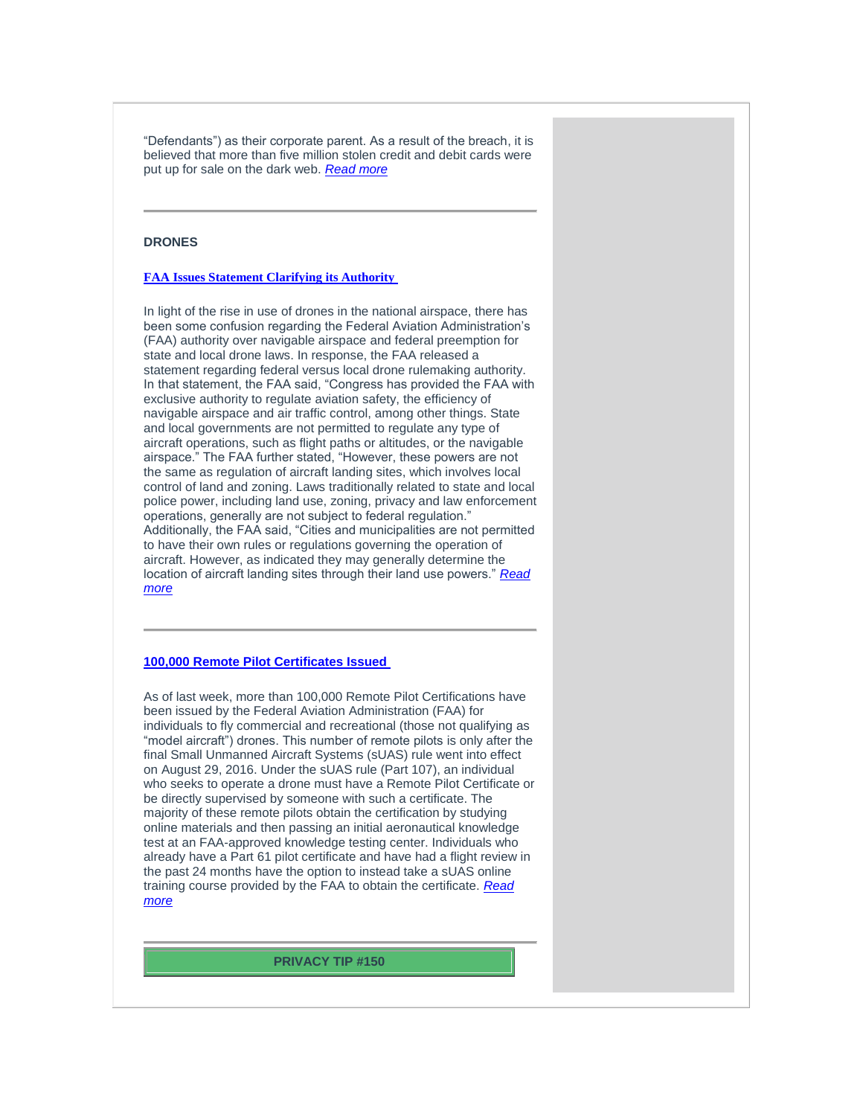"Defendants") as their corporate parent. As a result of the breach, it is believed that more than five million stolen credit and debit cards were put up for sale on the dark web. *[Read more](https://protect-us.mimecast.com/s/TBvdCADrLxfWLWruoibbo?domain=t2806904.omkt.co)*

### <span id="page-1-0"></span>**DRONES**

#### **[FAA Issues Statement Clarifying its Authority](https://protect-us.mimecast.com/s/4ug1CBBvMyH4p4PfZwF-T?domain=t2806904.omkt.co)**

In light of the rise in use of drones in the national airspace, there has been some confusion regarding the Federal Aviation Administration's (FAA) authority over navigable airspace and federal preemption for state and local drone laws. In response, the FAA released a statement regarding federal versus local drone rulemaking authority. In that statement, the FAA said, "Congress has provided the FAA with exclusive authority to regulate aviation safety, the efficiency of navigable airspace and air traffic control, among other things. State and local governments are not permitted to regulate any type of aircraft operations, such as flight paths or altitudes, or the navigable airspace." The FAA further stated, "However, these powers are not the same as regulation of aircraft landing sites, which involves local control of land and zoning. Laws traditionally related to state and local police power, including land use, zoning, privacy and law enforcement operations, generally are not subject to federal regulation." Additionally, the FAA said, "Cities and municipalities are not permitted to have their own rules or regulations governing the operation of aircraft. However, as indicated they may generally determine the location of aircraft landing sites through their land use powers." *[Read](https://protect-us.mimecast.com/s/AAo9CDkxOACVNVjTgZilL?domain=t2806904.omkt.co)  [more](https://protect-us.mimecast.com/s/AAo9CDkxOACVNVjTgZilL?domain=t2806904.omkt.co)*

#### **[100,000 Remote Pilot Certificates Issued](https://protect-us.mimecast.com/s/fsxVCERygBtDVD1h8_3a1?domain=t2806904.omkt.co)**

As of last week, more than 100,000 Remote Pilot Certifications have been issued by the Federal Aviation Administration (FAA) for individuals to fly commercial and recreational (those not qualifying as "model aircraft") drones. This number of remote pilots is only after the final Small Unmanned Aircraft Systems (sUAS) rule went into effect on August 29, 2016. Under the sUAS rule (Part 107), an individual who seeks to operate a drone must have a Remote Pilot Certificate or be directly supervised by someone with such a certificate. The majority of these remote pilots obtain the certification by studying online materials and then passing an initial aeronautical knowledge test at an FAA-approved knowledge testing center. Individuals who already have a Part 61 pilot certificate and have had a flight review in the past 24 months have the option to instead take a sUAS online training course provided by the FAA to obtain the certificate. *[Read](https://protect-us.mimecast.com/s/7upVCG6AkEfMKMWhxw1Z3?domain=t2806904.omkt.co)  [more](https://protect-us.mimecast.com/s/7upVCG6AkEfMKMWhxw1Z3?domain=t2806904.omkt.co)*

<span id="page-1-1"></span>**PRIVACY TIP #150**